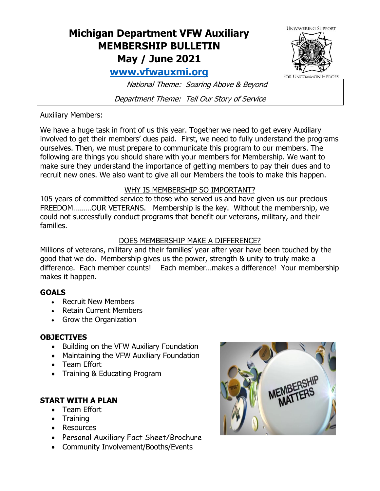# **Michigan Department VFW Auxiliary MEMBERSHIP BULLETIN May / June 2021**



**UNWAVERING SUPPORT** 

**FOR UNCOMMON HEROES** 

National Theme: Soaring Above & Beyond

Department Theme: Tell Our Story of Service

Auxiliary Members:

We have a huge task in front of us this year. Together we need to get every Auxiliary involved to get their members' dues paid. First, we need to fully understand the programs ourselves. Then, we must prepare to communicate this program to our members. The following are things you should share with your members for Membership. We want to make sure they understand the importance of getting members to pay their dues and to recruit new ones. We also want to give all our Members the tools to make this happen.

## WHY IS MEMBERSHIP SO IMPORTANT?

105 years of committed service to those who served us and have given us our precious FREEDOM………OUR VETERANS. Membership is the key. Without the membership, we could not successfully conduct programs that benefit our veterans, military, and their families.

# DOES MEMBERSHIP MAKE A DIFFERENCE?

Millions of veterans, military and their families' year after year have been touched by the good that we do. Membership gives us the power, strength & unity to truly make a difference. Each member counts! Each member…makes a difference! Your membership makes it happen.

# **GOALS**

- Recruit New Members
- Retain Current Members
- Grow the Organization

# **OBJECTIVES**

- Building on the VFW Auxiliary Foundation
- Maintaining the VFW Auxiliary Foundation
- Team Effort
- Training & Educating Program

# **START WITH A PLAN**

- Team Effort
- Training
- Resources
- Personal Auxiliary Fact Sheet/Brochure
- Community Involvement/Booths/Events